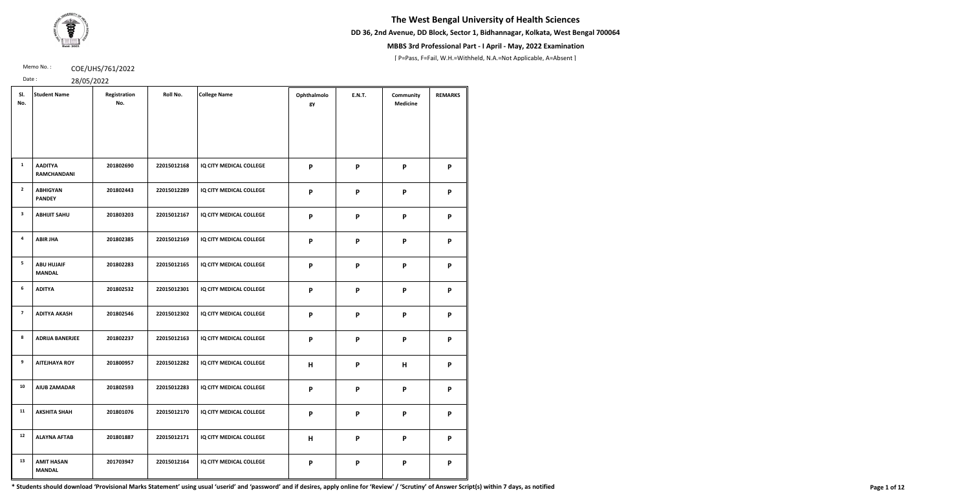**DD 36, 2nd Avenue, DD Block, Sector 1, Bidhannagar, Kolkata, West Bengal 700064**



## **MBBS 3rd Professional Part - I April - May, 2022 Examination**

[ P=Pass, F=Fail, W.H.=Withheld, N.A.=Not Applicable, A=Absent ]

Memo No.: **COE/UHS/761/2022** 

Date : 28/05/2022

| SI.<br>No.     | <b>Student Name</b>                | Registration<br>No. | Roll No.    | <b>College Name</b>     | Ophthalmolo<br>gy | <b>E.N.T.</b>             | Community<br><b>Medicine</b> | <b>REMARKS</b> |
|----------------|------------------------------------|---------------------|-------------|-------------------------|-------------------|---------------------------|------------------------------|----------------|
|                |                                    |                     |             |                         |                   |                           |                              |                |
| $\mathbf{1}$   | <b>AADITYA</b><br>RAMCHANDANI      | 201802690           | 22015012168 | IQ CITY MEDICAL COLLEGE | P                 | $\boldsymbol{\mathsf{P}}$ | P                            | P              |
| $\overline{2}$ | <b>ABHIGYAN</b><br><b>PANDEY</b>   | 201802443           | 22015012289 | IQ CITY MEDICAL COLLEGE | P                 | $\boldsymbol{\mathsf{P}}$ | P                            | P              |
| $\mathbf{3}$   | <b>ABHIJIT SAHU</b>                | 201803203           | 22015012167 | IQ CITY MEDICAL COLLEGE | P                 | P                         | P                            | P              |
| 4              | <b>ABIR JHA</b>                    | 201802385           | 22015012169 | IQ CITY MEDICAL COLLEGE | P                 | P                         | P                            | P              |
| 5              | <b>ABU HUJAIF</b><br><b>MANDAL</b> | 201802283           | 22015012165 | IQ CITY MEDICAL COLLEGE | P                 | $\boldsymbol{\mathsf{P}}$ | P                            | P              |
| 6              | <b>ADITYA</b>                      | 201802532           | 22015012301 | IQ CITY MEDICAL COLLEGE | P                 | $\boldsymbol{\mathsf{P}}$ | P                            | P              |
| $\overline{7}$ | <b>ADITYA AKASH</b>                | 201802546           | 22015012302 | IQ CITY MEDICAL COLLEGE | P                 | $\boldsymbol{\mathsf{P}}$ | P                            | P              |
| 8              | <b>ADRIJA BANERJEE</b>             | 201802237           | 22015012163 | IQ CITY MEDICAL COLLEGE | P                 | P                         | P                            | P              |
| 9              | <b>AITEJHAYA ROY</b>               | 201800957           | 22015012282 | IQ CITY MEDICAL COLLEGE | H                 | P                         | Н                            | P              |
| 10             | <b>AIUB ZAMADAR</b>                | 201802593           | 22015012283 | IQ CITY MEDICAL COLLEGE | P                 | $\boldsymbol{\mathsf{P}}$ | P                            | P              |
| 11             | <b>AKSHITA SHAH</b>                | 201801076           | 22015012170 | IQ CITY MEDICAL COLLEGE | P                 | P                         | P                            | P              |
| 12             | <b>ALAYNA AFTAB</b>                | 201801887           | 22015012171 | IQ CITY MEDICAL COLLEGE | H                 | $\boldsymbol{\mathsf{P}}$ | P                            | P              |
| 13             | <b>AMIT HASAN</b><br><b>MANDAL</b> | 201703947           | 22015012164 | IQ CITY MEDICAL COLLEGE | P                 | $\boldsymbol{\mathsf{P}}$ | $\boldsymbol{\mathsf{P}}$    | P              |

\* Students should download 'Provisional Marks Statement' using usual 'userid' and 'password' and if desires, apply online for 'Review' / 'Scrutiny' of Answer Script(s) within 7 days, as notified Page 1 of 12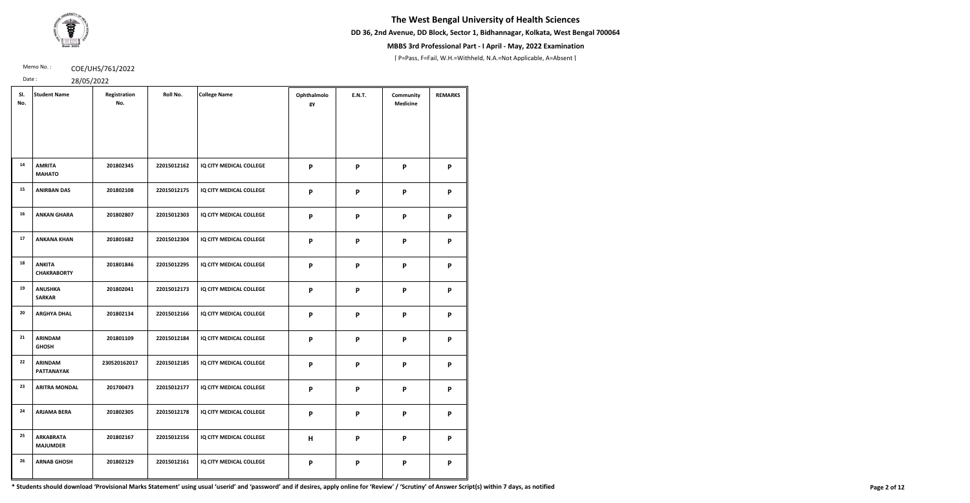**DD 36, 2nd Avenue, DD Block, Sector 1, Bidhannagar, Kolkata, West Bengal 700064**



## **MBBS 3rd Professional Part - I April - May, 2022 Examination**

[ P=Pass, F=Fail, W.H.=Withheld, N.A.=Not Applicable, A=Absent ]

Memo No.: **COE/UHS/761/2022** 

Date : 28/05/2022

| SI.<br>No. | <b>Student Name</b>                 | Registration<br>No. | Roll No.    | <b>College Name</b>     | Ophthalmolo<br>gy | <b>E.N.T.</b>             | Community<br><b>Medicine</b> | <b>REMARKS</b> |
|------------|-------------------------------------|---------------------|-------------|-------------------------|-------------------|---------------------------|------------------------------|----------------|
|            |                                     |                     |             |                         |                   |                           |                              |                |
| 14         | <b>AMRITA</b><br><b>MAHATO</b>      | 201802345           | 22015012162 | IQ CITY MEDICAL COLLEGE | P                 | $\boldsymbol{\mathsf{P}}$ | P                            | P              |
| 15         | <b>ANIRBAN DAS</b>                  | 201802108           | 22015012175 | IQ CITY MEDICAL COLLEGE | P                 | P                         | P                            | P              |
| 16         | <b>ANKAN GHARA</b>                  | 201802807           | 22015012303 | IQ CITY MEDICAL COLLEGE | P                 | $\boldsymbol{\mathsf{P}}$ | P                            | P              |
| 17         | <b>ANKANA KHAN</b>                  | 201801682           | 22015012304 | IQ CITY MEDICAL COLLEGE | P                 | $\mathsf{P}$              | P                            | P              |
| 18         | <b>ANKITA</b><br><b>CHAKRABORTY</b> | 201801846           | 22015012295 | IQ CITY MEDICAL COLLEGE | P                 | $\boldsymbol{\mathsf{P}}$ | P                            | P              |
| 19         | <b>ANUSHKA</b><br><b>SARKAR</b>     | 201802041           | 22015012173 | IQ CITY MEDICAL COLLEGE | P                 | P                         | P                            | P              |
| 20         | <b>ARGHYA DHAL</b>                  | 201802134           | 22015012166 | IQ CITY MEDICAL COLLEGE | P                 | P                         | P                            | P              |
| 21         | <b>ARINDAM</b><br><b>GHOSH</b>      | 201801109           | 22015012184 | IQ CITY MEDICAL COLLEGE | P                 | $\boldsymbol{\mathsf{P}}$ | P                            | P              |
| 22         | <b>ARINDAM</b><br><b>PATTANAYAK</b> | 230520162017        | 22015012185 | IQ CITY MEDICAL COLLEGE | P                 | P                         | P                            | P              |
| 23         | <b>ARITRA MONDAL</b>                | 201700473           | 22015012177 | IQ CITY MEDICAL COLLEGE | P                 | $\boldsymbol{\mathsf{P}}$ | P                            | P              |
| 24         | <b>ARJAMA BERA</b>                  | 201802305           | 22015012178 | IQ CITY MEDICAL COLLEGE | P                 | $\boldsymbol{\mathsf{P}}$ | P                            | P              |
| 25         | <b>ARKABRATA</b><br><b>MAJUMDER</b> | 201802167           | 22015012156 | IQ CITY MEDICAL COLLEGE | H                 | $\boldsymbol{\mathsf{P}}$ | $\mathsf{P}$                 | P              |
| 26         | <b>ARNAB GHOSH</b>                  | 201802129           | 22015012161 | IQ CITY MEDICAL COLLEGE | P                 | P                         | P                            | P              |

\* Students should download 'Provisional Marks Statement' using usual 'userid' and 'password' and if desires, apply online for 'Review' / 'Scrutiny' of Answer Script(s) within 7 days, as notified Page 2 of 12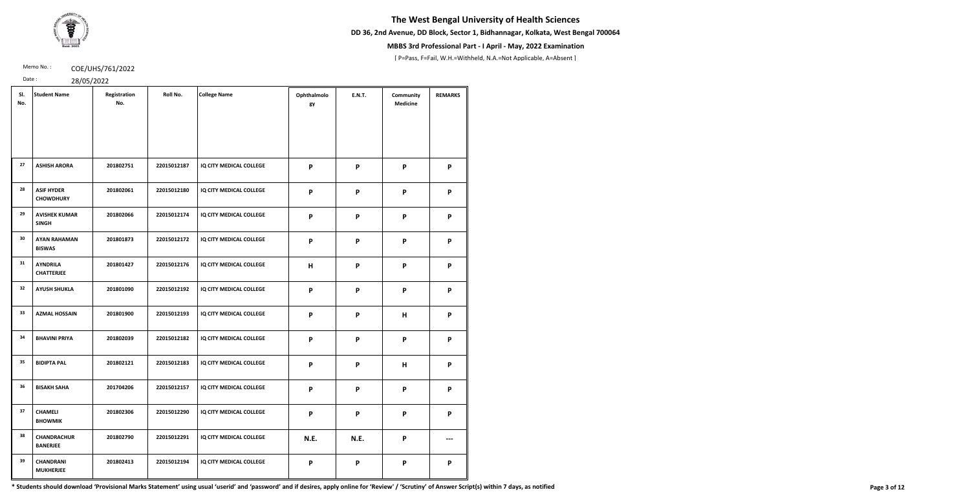**DD 36, 2nd Avenue, DD Block, Sector 1, Bidhannagar, Kolkata, West Bengal 700064**



## **MBBS 3rd Professional Part - I April - May, 2022 Examination**

[ P=Pass, F=Fail, W.H.=Withheld, N.A.=Not Applicable, A=Absent ]

Memo No.: **COE/UHS/761/2022** 

Date : 28/05/2022

| SI.<br>No. | <b>Student Name</b>                   | Registration<br>No. | Roll No.    | <b>College Name</b>     | Ophthalmolo<br>gy | <b>E.N.T.</b>             | Community<br><b>Medicine</b> | <b>REMARKS</b> |
|------------|---------------------------------------|---------------------|-------------|-------------------------|-------------------|---------------------------|------------------------------|----------------|
| 27         |                                       |                     |             |                         |                   |                           |                              |                |
|            | <b>ASHISH ARORA</b>                   | 201802751           | 22015012187 | IQ CITY MEDICAL COLLEGE | P                 | P                         | P                            | P              |
| 28         | <b>ASIF HYDER</b><br><b>CHOWDHURY</b> | 201802061           | 22015012180 | IQ CITY MEDICAL COLLEGE | P                 | P                         | P                            | P              |
| 29         | <b>AVISHEK KUMAR</b><br><b>SINGH</b>  | 201802066           | 22015012174 | IQ CITY MEDICAL COLLEGE | P                 | $\boldsymbol{\mathsf{P}}$ | P                            | P              |
| 30         | <b>AYAN RAHAMAN</b><br><b>BISWAS</b>  | 201801873           | 22015012172 | IQ CITY MEDICAL COLLEGE | P                 | $\boldsymbol{\mathsf{P}}$ | P                            | P              |
| 31         | <b>AYNDRILA</b><br><b>CHATTERJEE</b>  | 201801427           | 22015012176 | IQ CITY MEDICAL COLLEGE | H                 | P                         | P                            | P              |
| 32         | <b>AYUSH SHUKLA</b>                   | 201801090           | 22015012192 | IQ CITY MEDICAL COLLEGE | P                 | P                         | P                            | P              |
| 33         | <b>AZMAL HOSSAIN</b>                  | 201801900           | 22015012193 | IQ CITY MEDICAL COLLEGE | P                 | $\boldsymbol{\mathsf{P}}$ | Н                            | P              |
| 34         | <b>BHAVINI PRIYA</b>                  | 201802039           | 22015012182 | IQ CITY MEDICAL COLLEGE | P                 | P                         | P                            | P              |
| 35         | <b>BIDIPTA PAL</b>                    | 201802121           | 22015012183 | IQ CITY MEDICAL COLLEGE | P                 | P                         | H                            | P              |
| 36         | <b>BISAKH SAHA</b>                    | 201704206           | 22015012157 | IQ CITY MEDICAL COLLEGE | P                 | P                         | P                            | P              |
| 37         | <b>CHAMELI</b><br><b>BHOWMIK</b>      | 201802306           | 22015012290 | IQ CITY MEDICAL COLLEGE | P                 | P                         | P                            | P              |
| 38         | <b>CHANDRACHUR</b><br><b>BANERJEE</b> | 201802790           | 22015012291 | IQ CITY MEDICAL COLLEGE | N.E.              | N.E.                      | P                            |                |
| 39         | <b>CHANDRANI</b><br><b>MUKHERJEE</b>  | 201802413           | 22015012194 | IQ CITY MEDICAL COLLEGE | P                 | P                         | P                            | P              |

\* Students should download 'Provisional Marks Statement' using usual 'userid' and 'password' and if desires, apply online for 'Review' / 'Scrutiny' of Answer Script(s) within 7 days, as notified Page 3 of 12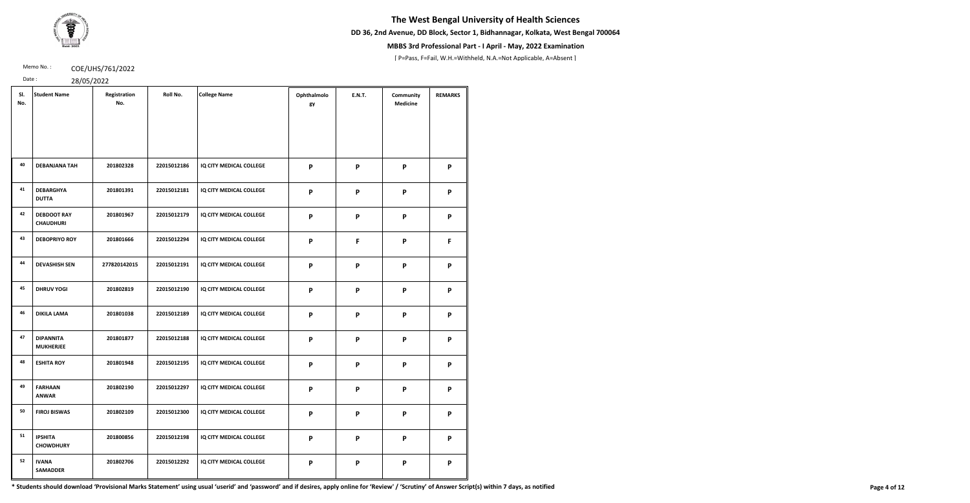**DD 36, 2nd Avenue, DD Block, Sector 1, Bidhannagar, Kolkata, West Bengal 700064**



## **MBBS 3rd Professional Part - I April - May, 2022 Examination**

[ P=Pass, F=Fail, W.H.=Withheld, N.A.=Not Applicable, A=Absent ]

Memo No.: **COE/UHS/761/2022** 

Date : 28/05/2022

| SI.<br>No. | <b>Student Name</b>                    | Registration<br>No. | Roll No.    | <b>College Name</b>            | Ophthalmolo<br>gy | <b>E.N.T.</b>             | Community<br><b>Medicine</b> | <b>REMARKS</b> |
|------------|----------------------------------------|---------------------|-------------|--------------------------------|-------------------|---------------------------|------------------------------|----------------|
|            |                                        |                     |             |                                |                   |                           |                              |                |
| 40         | <b>DEBANJANA TAH</b>                   | 201802328           | 22015012186 | IQ CITY MEDICAL COLLEGE        | P                 | P                         | P                            | P              |
| 41         | <b>DEBARGHYA</b><br><b>DUTTA</b>       | 201801391           | 22015012181 | IQ CITY MEDICAL COLLEGE        | P                 | $\boldsymbol{\mathsf{P}}$ | P                            | P              |
| 42         | <b>DEBDOOT RAY</b><br><b>CHAUDHURI</b> | 201801967           | 22015012179 | IQ CITY MEDICAL COLLEGE        | P                 | P                         | P                            | P              |
| 43         | <b>DEBOPRIYO ROY</b>                   | 201801666           | 22015012294 | IQ CITY MEDICAL COLLEGE        | P                 | F                         | P                            | F              |
| 44         | <b>DEVASHISH SEN</b>                   | 277820142015        | 22015012191 | IQ CITY MEDICAL COLLEGE        | P                 | P                         | P                            | P              |
| 45         | <b>DHRUV YOGI</b>                      | 201802819           | 22015012190 | IQ CITY MEDICAL COLLEGE        | P                 | P                         | P                            | P              |
| 46         | <b>DIKILA LAMA</b>                     | 201801038           | 22015012189 | IQ CITY MEDICAL COLLEGE        | P                 | $\mathsf{P}$              | P                            | P              |
| 47         | <b>DIPANNITA</b><br><b>MUKHERJEE</b>   | 201801877           | 22015012188 | <b>IQ CITY MEDICAL COLLEGE</b> | P                 | P                         | P                            | P              |
| 48         | <b>ESHITA ROY</b>                      | 201801948           | 22015012195 | IQ CITY MEDICAL COLLEGE        | P                 | P                         | P                            | P              |
| 49         | <b>FARHAAN</b><br><b>ANWAR</b>         | 201802190           | 22015012297 | IQ CITY MEDICAL COLLEGE        | P                 | P                         | P                            | P              |
| 50         | <b>FIROJ BISWAS</b>                    | 201802109           | 22015012300 | IQ CITY MEDICAL COLLEGE        | P                 | P                         | P                            | P              |
| 51         | <b>IPSHITA</b><br><b>CHOWDHURY</b>     | 201800856           | 22015012198 | IQ CITY MEDICAL COLLEGE        | P                 | P                         | P                            | P              |
| 52         | <b>IVANA</b><br><b>SAMADDER</b>        | 201802706           | 22015012292 | IQ CITY MEDICAL COLLEGE        | P                 | P                         | P                            | P              |

\* Students should download 'Provisional Marks Statement' using usual 'userid' and 'password' and if desires, apply online for 'Review' / 'Scrutiny' of Answer Script(s) within 7 days, as notified Page 4 of 12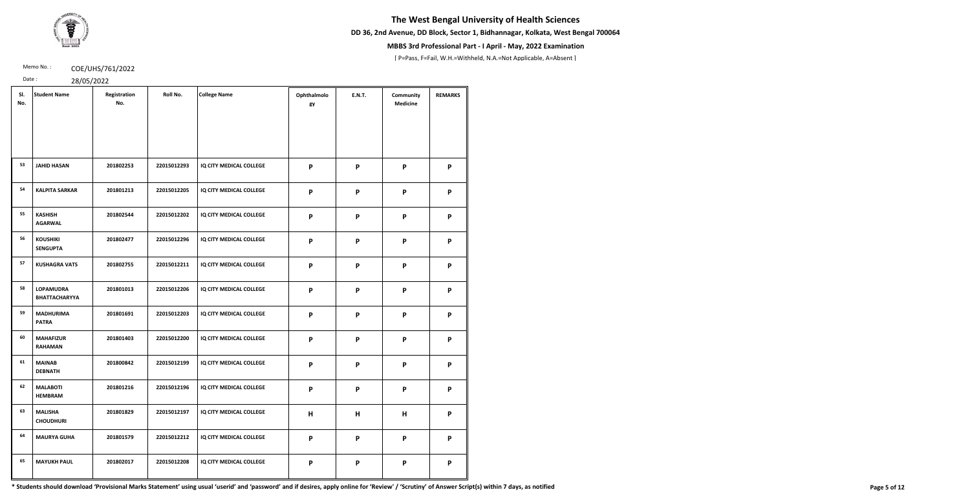**DD 36, 2nd Avenue, DD Block, Sector 1, Bidhannagar, Kolkata, West Bengal 700064**



## **MBBS 3rd Professional Part - I April - May, 2022 Examination**

[ P=Pass, F=Fail, W.H.=Withheld, N.A.=Not Applicable, A=Absent ]

Memo No.: **COE/UHS/761/2022** 

Date : 28/05/2022

| SI.<br>No. | <b>Student Name</b>                      | Registration<br>No. | Roll No.    | <b>College Name</b>     | Ophthalmolo<br>gy | <b>E.N.T.</b> | Community<br><b>Medicine</b> | <b>REMARKS</b> |
|------------|------------------------------------------|---------------------|-------------|-------------------------|-------------------|---------------|------------------------------|----------------|
|            |                                          |                     |             |                         |                   |               |                              |                |
| 53         | <b>JAHID HASAN</b>                       | 201802253           | 22015012293 | IQ CITY MEDICAL COLLEGE | P                 | P             | P                            | P              |
| 54         | <b>KALPITA SARKAR</b>                    | 201801213           | 22015012205 | IQ CITY MEDICAL COLLEGE | P                 | P             | P                            | P              |
| 55         | <b>KASHISH</b><br><b>AGARWAL</b>         | 201802544           | 22015012202 | IQ CITY MEDICAL COLLEGE | P                 | P             | P                            | P              |
| 56         | <b>KOUSHIKI</b><br><b>SENGUPTA</b>       | 201802477           | 22015012296 | IQ CITY MEDICAL COLLEGE | P                 | P             | P                            | P              |
| 57         | <b>KUSHAGRA VATS</b>                     | 201802755           | 22015012211 | IQ CITY MEDICAL COLLEGE | P                 | P             | P                            | P              |
| 58         | <b>LOPAMUDRA</b><br><b>BHATTACHARYYA</b> | 201801013           | 22015012206 | IQ CITY MEDICAL COLLEGE | P                 | $\mathsf{P}$  | P                            | P              |
| 59         | <b>MADHURIMA</b><br><b>PATRA</b>         | 201801691           | 22015012203 | IQ CITY MEDICAL COLLEGE | P                 | $\mathsf{P}$  | P                            | P              |
| 60         | <b>MAHAFIZUR</b><br><b>RAHAMAN</b>       | 201801403           | 22015012200 | IQ CITY MEDICAL COLLEGE | P                 | P             | P                            | P              |
| 61         | <b>MAINAB</b><br><b>DEBNATH</b>          | 201800842           | 22015012199 | IQ CITY MEDICAL COLLEGE | P                 | P             | P                            | P              |
| 62         | <b>MALABOTI</b><br><b>HEMBRAM</b>        | 201801216           | 22015012196 | IQ CITY MEDICAL COLLEGE | P                 | P             | P                            | P              |
| 63         | <b>MALISHA</b><br><b>CHOUDHURI</b>       | 201801829           | 22015012197 | IQ CITY MEDICAL COLLEGE | H                 | H             | H                            | P              |
| 64         | <b>MAURYA GUHA</b>                       | 201801579           | 22015012212 | IQ CITY MEDICAL COLLEGE | P                 | P             | P                            | P              |
| 65         | <b>MAYUKH PAUL</b>                       | 201802017           | 22015012208 | IQ CITY MEDICAL COLLEGE | P                 | P             | P                            | P              |

\* Students should download 'Provisional Marks Statement' using usual 'userid' and 'password' and if desires, apply online for 'Review' / 'Scrutiny' of Answer Script(s) within 7 days, as notified Page 5 of 12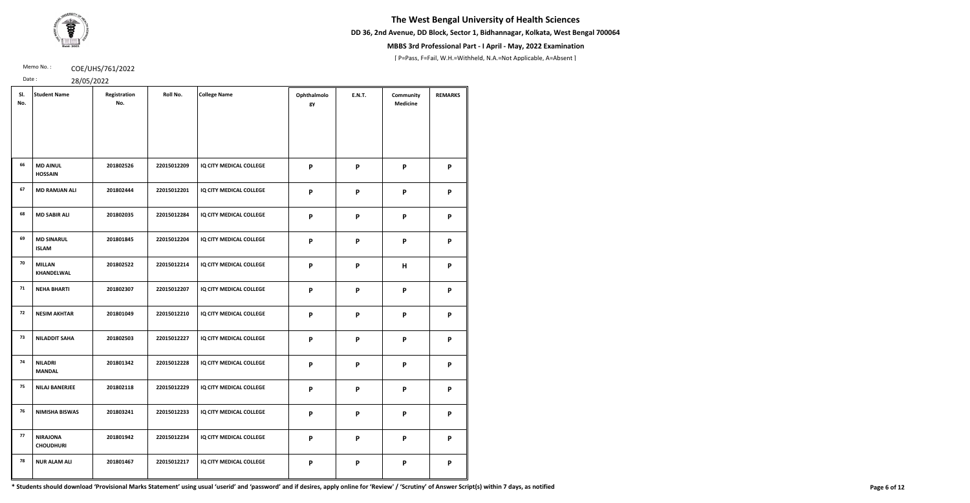**DD 36, 2nd Avenue, DD Block, Sector 1, Bidhannagar, Kolkata, West Bengal 700064**



## **MBBS 3rd Professional Part - I April - May, 2022 Examination**

[ P=Pass, F=Fail, W.H.=Withheld, N.A.=Not Applicable, A=Absent ]

Memo No.: **COE/UHS/761/2022** 

Date : 28/05/2022

| SI.<br>No. | <b>Student Name</b>                 | Registration<br>No. | Roll No.    | <b>College Name</b>     | Ophthalmolo<br>gy | <b>E.N.T.</b>             | Community<br><b>Medicine</b> | <b>REMARKS</b> |
|------------|-------------------------------------|---------------------|-------------|-------------------------|-------------------|---------------------------|------------------------------|----------------|
|            |                                     |                     |             |                         |                   |                           |                              |                |
| 66         | <b>MD AINUL</b><br><b>HOSSAIN</b>   | 201802526           | 22015012209 | IQ CITY MEDICAL COLLEGE | P                 | P                         | P                            | P              |
| 67         | <b>MD RAMJAN ALI</b>                | 201802444           | 22015012201 | IQ CITY MEDICAL COLLEGE | P                 | P                         | P                            | P              |
| 68         | <b>MD SABIR ALI</b>                 | 201802035           | 22015012284 | IQ CITY MEDICAL COLLEGE | P                 | P                         | P                            | P              |
| 69         | <b>MD SINARUL</b><br><b>ISLAM</b>   | 201801845           | 22015012204 | IQ CITY MEDICAL COLLEGE | P                 | $\boldsymbol{\mathsf{P}}$ | P                            | P              |
| 70         | <b>MILLAN</b><br><b>KHANDELWAL</b>  | 201802522           | 22015012214 | IQ CITY MEDICAL COLLEGE | P                 | $\boldsymbol{\mathsf{P}}$ | H                            | P              |
| 71         | <b>NEHA BHARTI</b>                  | 201802307           | 22015012207 | IQ CITY MEDICAL COLLEGE | P                 | P                         | P                            | P              |
| 72         | <b>NESIM AKHTAR</b>                 | 201801049           | 22015012210 | IQ CITY MEDICAL COLLEGE | P                 | P                         | P                            | P              |
| 73         | <b>NILADDIT SAHA</b>                | 201802503           | 22015012227 | IQ CITY MEDICAL COLLEGE | P                 | P                         | P                            | P              |
| 74         | <b>NILADRI</b><br><b>MANDAL</b>     | 201801342           | 22015012228 | IQ CITY MEDICAL COLLEGE | P                 | P                         | P                            | P              |
| 75         | <b>NILAJ BANERJEE</b>               | 201802118           | 22015012229 | IQ CITY MEDICAL COLLEGE | P                 | P                         | P                            | P              |
| 76         | <b>NIMISHA BISWAS</b>               | 201803241           | 22015012233 | IQ CITY MEDICAL COLLEGE | P                 | P                         | P                            | P              |
| 77         | <b>NIRAJONA</b><br><b>CHOUDHURI</b> | 201801942           | 22015012234 | IQ CITY MEDICAL COLLEGE | P                 | P                         | P                            | P              |
| 78         | <b>NUR ALAM ALI</b>                 | 201801467           | 22015012217 | IQ CITY MEDICAL COLLEGE | P                 | P                         | P                            | P              |

\* Students should download 'Provisional Marks Statement' using usual 'userid' and 'password' and if desires, apply online for 'Review' / 'Scrutiny' of Answer Script(s) within 7 days, as notified Page 6 of 12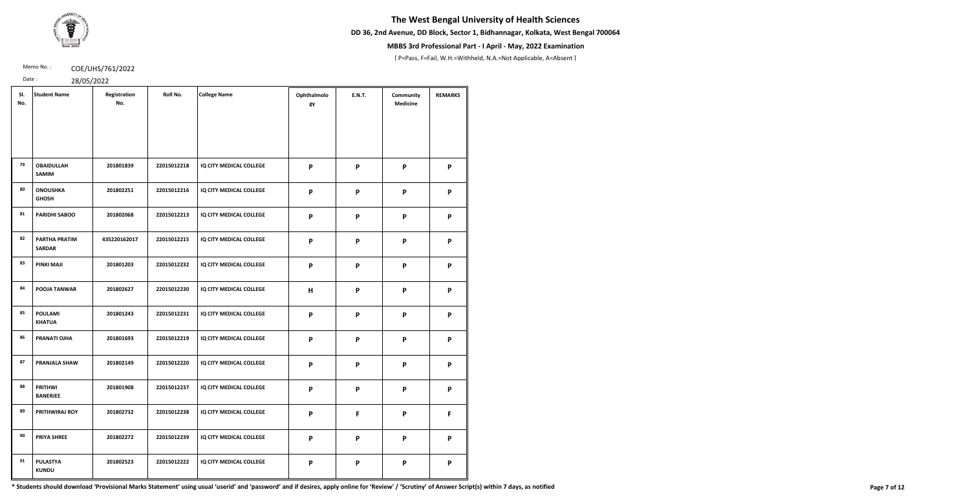**DD 36, 2nd Avenue, DD Block, Sector 1, Bidhannagar, Kolkata, West Bengal 700064**



## **MBBS 3rd Professional Part - I April - May, 2022 Examination**

[ P=Pass, F=Fail, W.H.=Withheld, N.A.=Not Applicable, A=Absent ]

Memo No.: **COE/UHS/761/2022** 

| ٠       |  | ว |
|---------|--|---|
| $\cdot$ |  |   |

| SI.<br>No. | <b>Student Name</b>                   | Registration<br>No. | Roll No.    | <b>College Name</b>     | Ophthalmolo<br>gy | <b>E.N.T.</b>             | Community<br><b>Medicine</b> | <b>REMARKS</b> |
|------------|---------------------------------------|---------------------|-------------|-------------------------|-------------------|---------------------------|------------------------------|----------------|
| 79         | <b>OBAIDULLAH</b>                     | 201801839           | 22015012218 | IQ CITY MEDICAL COLLEGE | P                 | $\boldsymbol{\mathsf{P}}$ | P                            | P              |
|            | <b>SAMIM</b>                          |                     |             |                         |                   |                           |                              |                |
| 80         | <b>ONOUSHKA</b><br><b>GHOSH</b>       | 201802251           | 22015012216 | IQ CITY MEDICAL COLLEGE | P                 | P                         | P                            | P              |
| 81         | <b>PARIDHI SABOO</b>                  | 201802068           | 22015012213 | IQ CITY MEDICAL COLLEGE | P                 | $\boldsymbol{\mathsf{P}}$ | P                            | P              |
| 82         | <b>PARTHA PRATIM</b><br><b>SARDAR</b> | 435220162017        | 22015012215 | IQ CITY MEDICAL COLLEGE | P                 | P                         | P                            | P              |
| 83         | PINKI MAJI                            | 201801203           | 22015012232 | IQ CITY MEDICAL COLLEGE | P                 | $\boldsymbol{\mathsf{P}}$ | P                            | P              |
| 84         | POOJA TANWAR                          | 201802627           | 22015012230 | IQ CITY MEDICAL COLLEGE | H                 | P                         | P                            | P              |
| 85         | <b>POULAMI</b><br><b>KHATUA</b>       | 201801243           | 22015012231 | IQ CITY MEDICAL COLLEGE | P                 | P                         | P                            | P              |
| 86         | <b>PRANATI OJHA</b>                   | 201801693           | 22015012219 | IQ CITY MEDICAL COLLEGE | P                 | $\boldsymbol{\mathsf{P}}$ | P                            | P              |
| 87         | <b>PRANJALA SHAW</b>                  | 201802149           | 22015012220 | IQ CITY MEDICAL COLLEGE | P                 | $\boldsymbol{\mathsf{P}}$ | P                            | P              |
| 88         | <b>PRITHWI</b><br><b>BANERJEE</b>     | 201801908           | 22015012237 | IQ CITY MEDICAL COLLEGE | P                 | $\mathsf{P}$              | P                            | P              |
| 89         | PRITHWIRAJ ROY                        | 201802732           | 22015012238 | IQ CITY MEDICAL COLLEGE | P                 | F                         | P                            | F              |
| 90         | <b>PRIYA SHREE</b>                    | 201802272           | 22015012239 | IQ CITY MEDICAL COLLEGE | P                 | $\boldsymbol{\mathsf{P}}$ | $\boldsymbol{\mathsf{P}}$    | P              |
| 91         | <b>PULASTYA</b><br><b>KUNDU</b>       | 201802523           | 22015012222 | IQ CITY MEDICAL COLLEGE | P                 | P                         | P                            | P              |

\* Students should download 'Provisional Marks Statement' using usual 'userid' and 'password' and if desires, apply online for 'Review' / 'Scrutiny' of Answer Script(s) within 7 days, as notified Page 7 of 12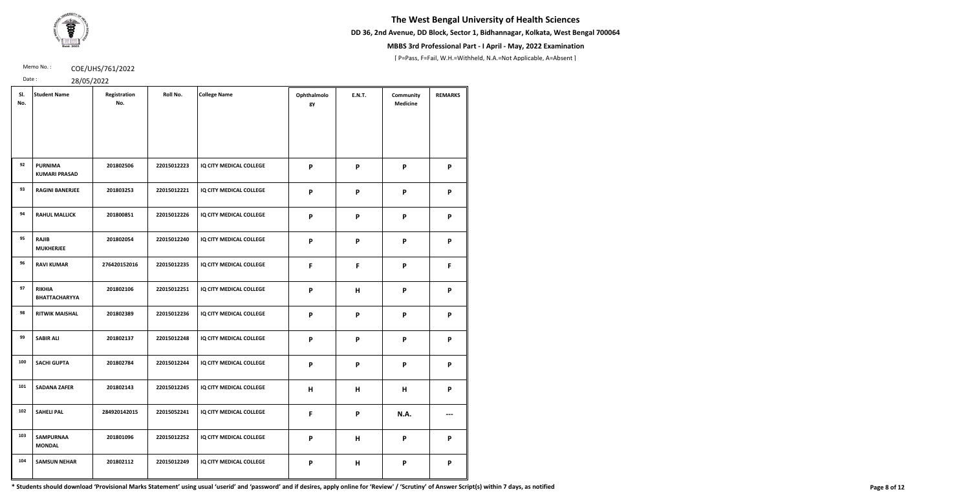**DD 36, 2nd Avenue, DD Block, Sector 1, Bidhannagar, Kolkata, West Bengal 700064**



## **MBBS 3rd Professional Part - I April - May, 2022 Examination**

[ P=Pass, F=Fail, W.H.=Withheld, N.A.=Not Applicable, A=Absent ]

Memo No.: **COE/UHS/761/2022** 

Date : 28/05/2022

| SI.<br>No. | <b>Student Name</b>                    | Registration<br>No. | Roll No.    | <b>College Name</b>     | Ophthalmolo<br>gy         | <b>E.N.T.</b>             | Community<br><b>Medicine</b> | <b>REMARKS</b> |
|------------|----------------------------------------|---------------------|-------------|-------------------------|---------------------------|---------------------------|------------------------------|----------------|
| 92         | <b>PURNIMA</b><br><b>KUMARI PRASAD</b> | 201802506           | 22015012223 | IQ CITY MEDICAL COLLEGE | P                         | $\boldsymbol{\mathsf{P}}$ | P                            | P              |
| 93         | <b>RAGINI BANERJEE</b>                 | 201803253           | 22015012221 | IQ CITY MEDICAL COLLEGE | P                         | $\boldsymbol{\mathsf{P}}$ | P                            | P              |
| 94         | <b>RAHUL MALLICK</b>                   | 201800851           | 22015012226 | IQ CITY MEDICAL COLLEGE | P                         | $\boldsymbol{\mathsf{P}}$ | P                            | P              |
| 95         | <b>RAJIB</b><br><b>MUKHERJEE</b>       | 201802054           | 22015012240 | IQ CITY MEDICAL COLLEGE | P                         | P                         | P                            | P              |
| 96         | <b>RAVI KUMAR</b>                      | 276420152016        | 22015012235 | IQ CITY MEDICAL COLLEGE | F                         | F                         | P                            | F.             |
| 97         | <b>RIKHIA</b><br><b>BHATTACHARYYA</b>  | 201802106           | 22015012251 | IQ CITY MEDICAL COLLEGE | P                         | H                         | P                            | P              |
| 98         | <b>RITWIK MAISHAL</b>                  | 201802389           | 22015012236 | IQ CITY MEDICAL COLLEGE | P                         | $\boldsymbol{\mathsf{P}}$ | P                            | P              |
| 99         | <b>SABIR ALI</b>                       | 201802137           | 22015012248 | IQ CITY MEDICAL COLLEGE | P                         | $\boldsymbol{\mathsf{P}}$ | P                            | P              |
| 100        | <b>SACHI GUPTA</b>                     | 201802784           | 22015012244 | IQ CITY MEDICAL COLLEGE | P                         | $\boldsymbol{\mathsf{P}}$ | P                            | P              |
| 101        | <b>SADANA ZAFER</b>                    | 201802143           | 22015012245 | IQ CITY MEDICAL COLLEGE | H                         | H                         | H                            | P              |
| 102        | <b>SAHELI PAL</b>                      | 284920142015        | 22015052241 | IQ CITY MEDICAL COLLEGE | F                         | $\boldsymbol{\mathsf{P}}$ | N.A.                         |                |
| 103        | <b>SAMPURNAA</b><br><b>MONDAL</b>      | 201801096           | 22015012252 | IQ CITY MEDICAL COLLEGE | P                         | H                         | P                            | P              |
| 104        | <b>SAMSUN NEHAR</b>                    | 201802112           | 22015012249 | IQ CITY MEDICAL COLLEGE | $\boldsymbol{\mathsf{P}}$ | H                         | P                            | P              |

\* Students should download 'Provisional Marks Statement' using usual 'userid' and 'password' and if desires, apply online for 'Review' / 'Scrutiny' of Answer Script(s) within 7 days, as notified Page 8 of 12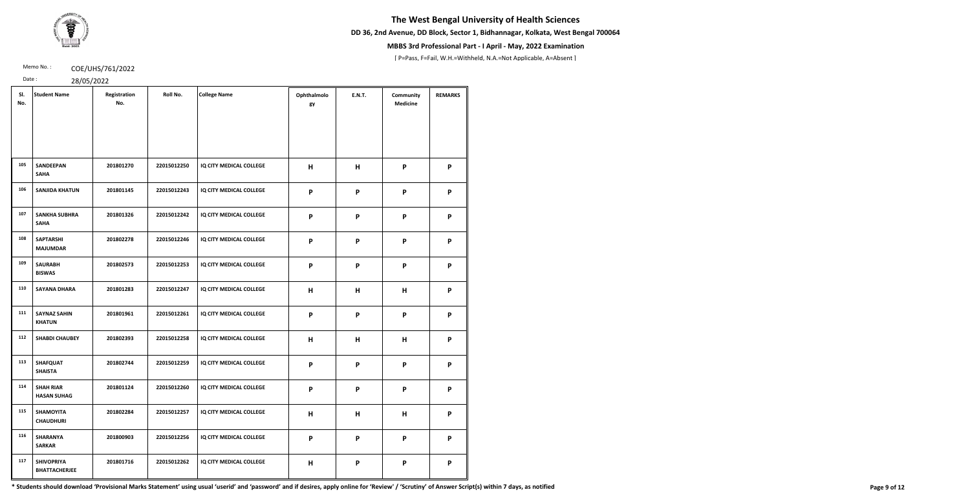**DD 36, 2nd Avenue, DD Block, Sector 1, Bidhannagar, Kolkata, West Bengal 700064**



## **MBBS 3rd Professional Part - I April - May, 2022 Examination**

[ P=Pass, F=Fail, W.H.=Withheld, N.A.=Not Applicable, A=Absent ]

Memo No.: **COE/UHS/761/2022** 

Date : 28/05/2022

| SI.<br>No. | <b>Student Name</b>                       | Registration<br>No. | Roll No.    | <b>College Name</b>     | Ophthalmolo<br>gy | <b>E.N.T.</b>             | Community<br><b>Medicine</b> | <b>REMARKS</b> |
|------------|-------------------------------------------|---------------------|-------------|-------------------------|-------------------|---------------------------|------------------------------|----------------|
|            |                                           |                     |             |                         |                   |                           |                              |                |
| 105        | <b>SANDEEPAN</b><br><b>SAHA</b>           | 201801270           | 22015012250 | IQ CITY MEDICAL COLLEGE | H                 | H                         | P                            | P              |
| 106        | <b>SANJIDA KHATUN</b>                     | 201801145           | 22015012243 | IQ CITY MEDICAL COLLEGE | P                 | P                         | P                            | P              |
| 107        | <b>SANKHA SUBHRA</b><br><b>SAHA</b>       | 201801326           | 22015012242 | IQ CITY MEDICAL COLLEGE | P                 | P                         | P                            | P              |
| 108        | <b>SAPTARSHI</b><br><b>MAJUMDAR</b>       | 201802278           | 22015012246 | IQ CITY MEDICAL COLLEGE | P                 | $\boldsymbol{\mathsf{P}}$ | P                            | P              |
| 109        | <b>SAURABH</b><br><b>BISWAS</b>           | 201802573           | 22015012253 | IQ CITY MEDICAL COLLEGE | P                 | $\mathsf{P}$              | P                            | P              |
| 110        | <b>SAYANA DHARA</b>                       | 201801283           | 22015012247 | IQ CITY MEDICAL COLLEGE | H                 | H                         | H                            | P              |
| 111        | <b>SAYNAZ SAHIN</b><br><b>KHATUN</b>      | 201801961           | 22015012261 | IQ CITY MEDICAL COLLEGE | P                 | P                         | P                            | P              |
| 112        | <b>SHABDI CHAUBEY</b>                     | 201802393           | 22015012258 | IQ CITY MEDICAL COLLEGE | H                 | H                         | H                            | P              |
| 113        | <b>SHAFQUAT</b><br><b>SHAISTA</b>         | 201802744           | 22015012259 | IQ CITY MEDICAL COLLEGE | P                 | P                         | P                            | P              |
| 114        | <b>SHAH RIAR</b><br><b>HASAN SUHAG</b>    | 201801124           | 22015012260 | IQ CITY MEDICAL COLLEGE | P                 | P                         | P                            | P              |
| 115        | SHAMOYITA<br><b>CHAUDHURI</b>             | 201802284           | 22015012257 | IQ CITY MEDICAL COLLEGE | H                 | H                         | H                            | P              |
| 116        | <b>SHARANYA</b><br><b>SARKAR</b>          | 201800903           | 22015012256 | IQ CITY MEDICAL COLLEGE | P                 | $\boldsymbol{\mathsf{P}}$ | P                            | P              |
| 117        | <b>SHIVOPRIYA</b><br><b>BHATTACHERJEE</b> | 201801716           | 22015012262 | IQ CITY MEDICAL COLLEGE | H                 | P                         | P                            | P              |

\* Students should download 'Provisional Marks Statement' using usual 'userid' and 'password' and if desires, apply online for 'Review' / 'Scrutiny' of Answer Script(s) within 7 days, as notified Page 9 of 12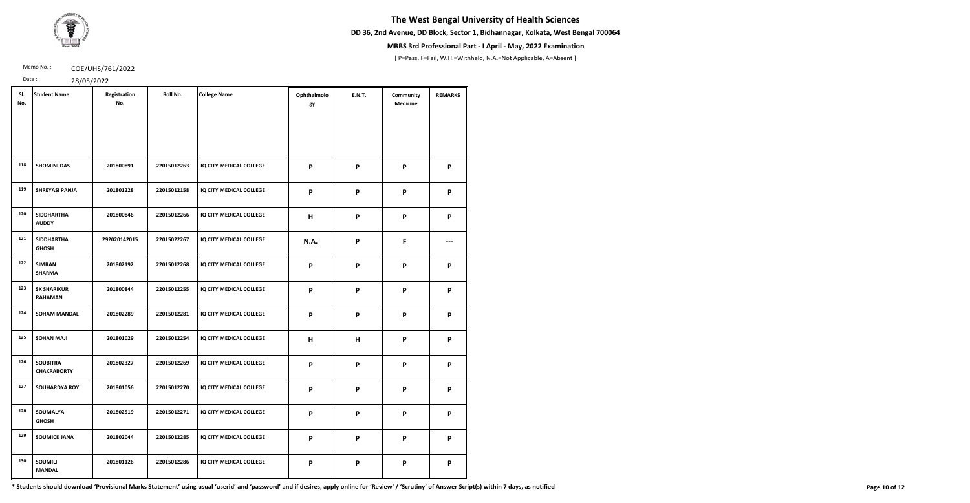**DD 36, 2nd Avenue, DD Block, Sector 1, Bidhannagar, Kolkata, West Bengal 700064**



## **MBBS 3rd Professional Part - I April - May, 2022 Examination**

[ P=Pass, F=Fail, W.H.=Withheld, N.A.=Not Applicable, A=Absent ]

Memo No.: **COE/UHS/761/2022** 

Date : 28/05/2022

| SI.<br>No. | <b>Student Name</b>                   | Registration<br>No. | Roll No.    | <b>College Name</b>     | Ophthalmolo<br>gy | <b>E.N.T.</b> | Community<br><b>Medicine</b> | <b>REMARKS</b> |
|------------|---------------------------------------|---------------------|-------------|-------------------------|-------------------|---------------|------------------------------|----------------|
|            |                                       |                     |             |                         |                   |               |                              |                |
| 118        | <b>SHOMINI DAS</b>                    | 201800891           | 22015012263 | IQ CITY MEDICAL COLLEGE | P                 | P             | P                            | P              |
| 119        | <b>SHREYASI PANJA</b>                 | 201801228           | 22015012158 | IQ CITY MEDICAL COLLEGE | P                 | P             | P                            | P              |
| 120        | <b>SIDDHARTHA</b><br><b>AUDDY</b>     | 201800846           | 22015012266 | IQ CITY MEDICAL COLLEGE | H                 | P             | P                            | P              |
| 121        | <b>SIDDHARTHA</b><br><b>GHOSH</b>     | 292020142015        | 22015022267 | IQ CITY MEDICAL COLLEGE | N.A.              | P             | F                            |                |
| 122        | <b>SIMRAN</b><br><b>SHARMA</b>        | 201802192           | 22015012268 | IQ CITY MEDICAL COLLEGE | P                 | P             | P                            | P              |
| 123        | <b>SK SHARIKUR</b><br><b>RAHAMAN</b>  | 201800844           | 22015012255 | IQ CITY MEDICAL COLLEGE | P                 | P             | $\boldsymbol{\mathsf{P}}$    | P              |
| 124        | <b>SOHAM MANDAL</b>                   | 201802289           | 22015012281 | IQ CITY MEDICAL COLLEGE | P                 | P             | P                            | P              |
| 125        | <b>SOHAN MAJI</b>                     | 201801029           | 22015012254 | IQ CITY MEDICAL COLLEGE | H                 | Н             | $\boldsymbol{\mathsf{P}}$    | P              |
| 126        | <b>SOUBITRA</b><br><b>CHAKRABORTY</b> | 201802327           | 22015012269 | IQ CITY MEDICAL COLLEGE | P                 | P             | P                            | P              |
| 127        | <b>SOUHARDYA ROY</b>                  | 201801056           | 22015012270 | IQ CITY MEDICAL COLLEGE | P                 | P             | P                            | P              |
| 128        | SOUMALYA<br><b>GHOSH</b>              | 201802519           | 22015012271 | IQ CITY MEDICAL COLLEGE | P                 | P             | P                            | P              |
| 129        | <b>SOUMICK JANA</b>                   | 201802044           | 22015012285 | IQ CITY MEDICAL COLLEGE | P                 | P             | P                            | P              |
| 130        | <b>SOUMILI</b><br><b>MANDAL</b>       | 201801126           | 22015012286 | IQ CITY MEDICAL COLLEGE | P                 | P             | P                            | P              |

\* Students should download 'Provisional Marks Statement' using usual 'userid' and 'password' and if desires, apply online for 'Review' / 'Scrutiny' of Answer Script(s) within 7 days, as notified Page 10 of 12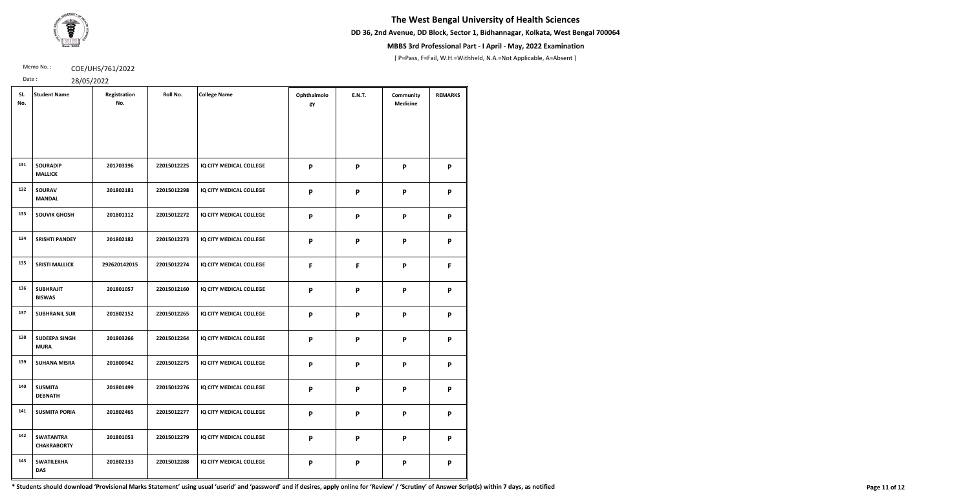**DD 36, 2nd Avenue, DD Block, Sector 1, Bidhannagar, Kolkata, West Bengal 700064**



## **MBBS 3rd Professional Part - I April - May, 2022 Examination**

[ P=Pass, F=Fail, W.H.=Withheld, N.A.=Not Applicable, A=Absent ]

Memo No.: **COE/UHS/761/2022** 

| ٠ |               |  |
|---|---------------|--|
| ٠ | $\mathcal{D}$ |  |

| Date: | 28/05/2022 |
|-------|------------|
|       |            |

| SI.<br>No. | <b>Student Name</b>                    | Registration<br>No. | Roll No.    | <b>College Name</b>     | Ophthalmolo<br>gy | <b>E.N.T.</b>             | Community<br><b>Medicine</b> | <b>REMARKS</b> |
|------------|----------------------------------------|---------------------|-------------|-------------------------|-------------------|---------------------------|------------------------------|----------------|
| 131        | <b>SOURADIP</b><br><b>MALLICK</b>      | 201703196           | 22015012225 | IQ CITY MEDICAL COLLEGE | P                 | $\boldsymbol{\mathsf{P}}$ | $\mathsf{P}$                 | P              |
| 132        | <b>SOURAV</b><br><b>MANDAL</b>         | 201802181           | 22015012298 | IQ CITY MEDICAL COLLEGE | P                 | $\boldsymbol{\mathsf{P}}$ | P                            | P              |
| 133        | <b>SOUVIK GHOSH</b>                    | 201801112           | 22015012272 | IQ CITY MEDICAL COLLEGE | P                 | $\boldsymbol{\mathsf{P}}$ | P                            | P              |
| 134        | <b>SRISHTI PANDEY</b>                  | 201802182           | 22015012273 | IQ CITY MEDICAL COLLEGE | P                 | P                         | P                            | P              |
| 135        | <b>SRISTI MALLICK</b>                  | 292620142015        | 22015012274 | IQ CITY MEDICAL COLLEGE | F                 | F                         | P                            | F              |
| 136        | <b>SUBHRAJIT</b><br><b>BISWAS</b>      | 201801057           | 22015012160 | IQ CITY MEDICAL COLLEGE | P                 | $\boldsymbol{\mathsf{P}}$ | P                            | P              |
| 137        | <b>SUBHRANIL SUR</b>                   | 201802152           | 22015012265 | IQ CITY MEDICAL COLLEGE | P                 | $\boldsymbol{\mathsf{P}}$ | P                            | P              |
| 138        | <b>SUDEEPA SINGH</b><br><b>MURA</b>    | 201803266           | 22015012264 | IQ CITY MEDICAL COLLEGE | P                 | P                         | $\boldsymbol{\mathsf{P}}$    | P              |
| 139        | <b>SUHANA MISRA</b>                    | 201800942           | 22015012275 | IQ CITY MEDICAL COLLEGE | P                 | P                         | P                            | P              |
| 140        | <b>SUSMITA</b><br><b>DEBNATH</b>       | 201801499           | 22015012276 | IQ CITY MEDICAL COLLEGE | P                 | P                         | P                            | P              |
| 141        | <b>SUSMITA PORIA</b>                   | 201802465           | 22015012277 | IQ CITY MEDICAL COLLEGE | P                 | $\boldsymbol{\mathsf{P}}$ | P                            | P              |
| 142        | <b>SWATANTRA</b><br><b>CHAKRABORTY</b> | 201801053           | 22015012279 | IQ CITY MEDICAL COLLEGE | P                 | P                         | P                            | P              |
| 143        | <b>SWATILEKHA</b><br><b>DAS</b>        | 201802133           | 22015012288 | IQ CITY MEDICAL COLLEGE | P                 | P                         | P                            | P              |

\* Students should download 'Provisional Marks Statement' using usual 'userid' and 'password' and if desires, apply online for 'Review' / 'Scrutiny' of Answer Script(s) within 7 days, as notified Page 11 of 12